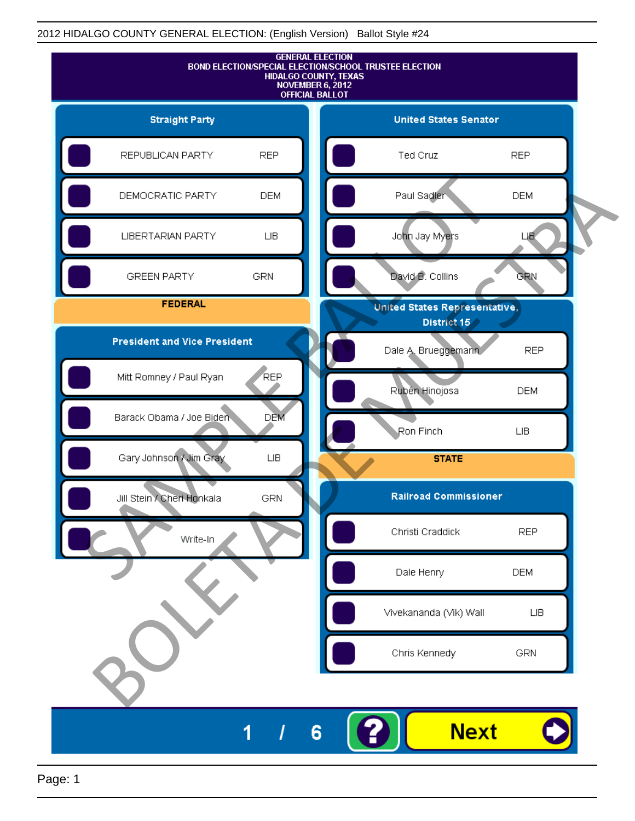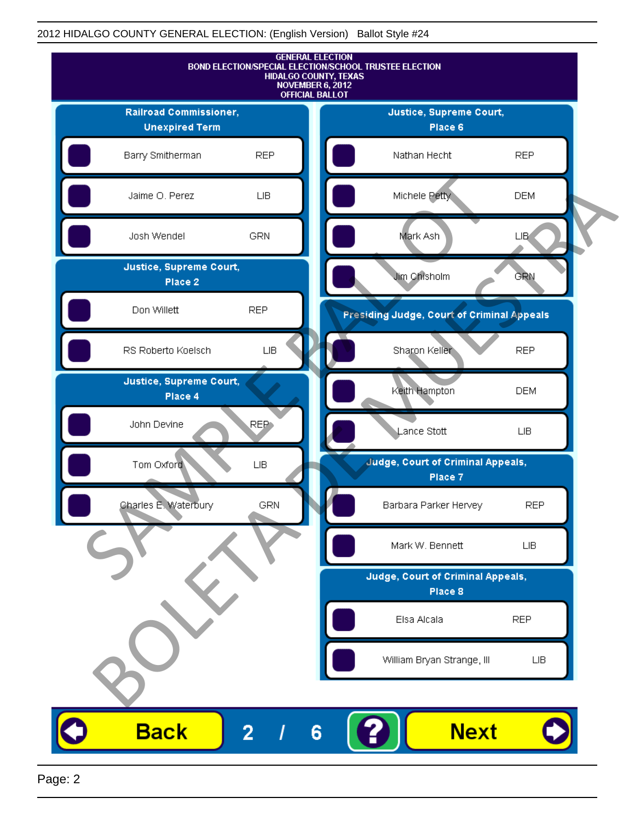

Page: 2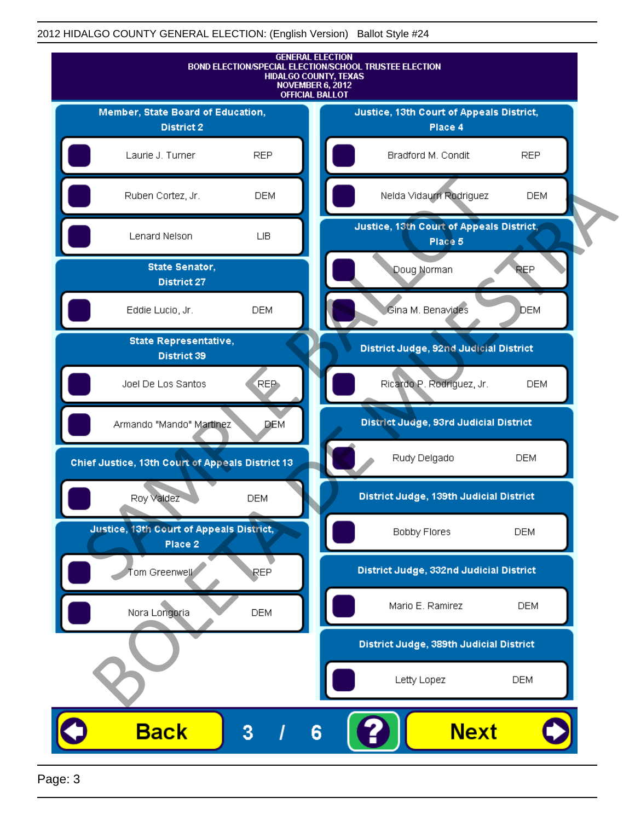

Page: 3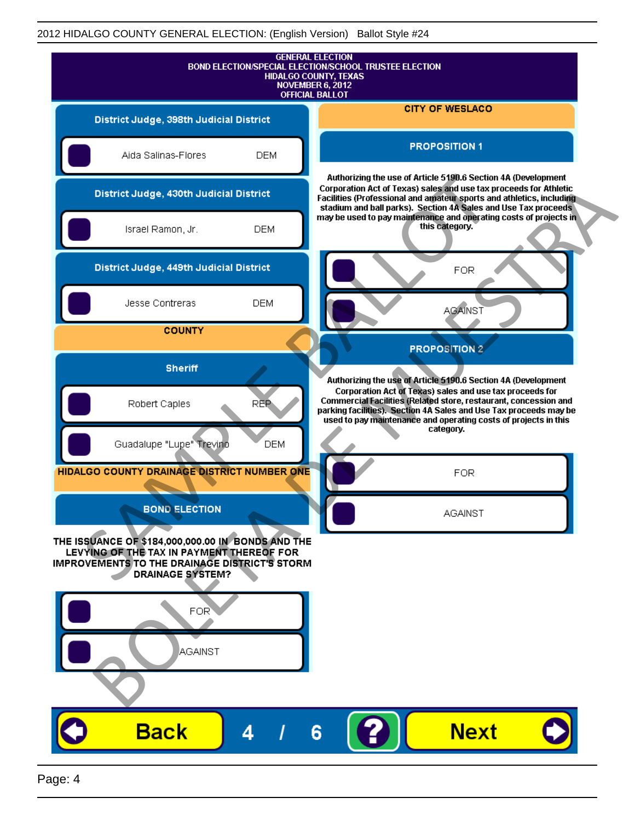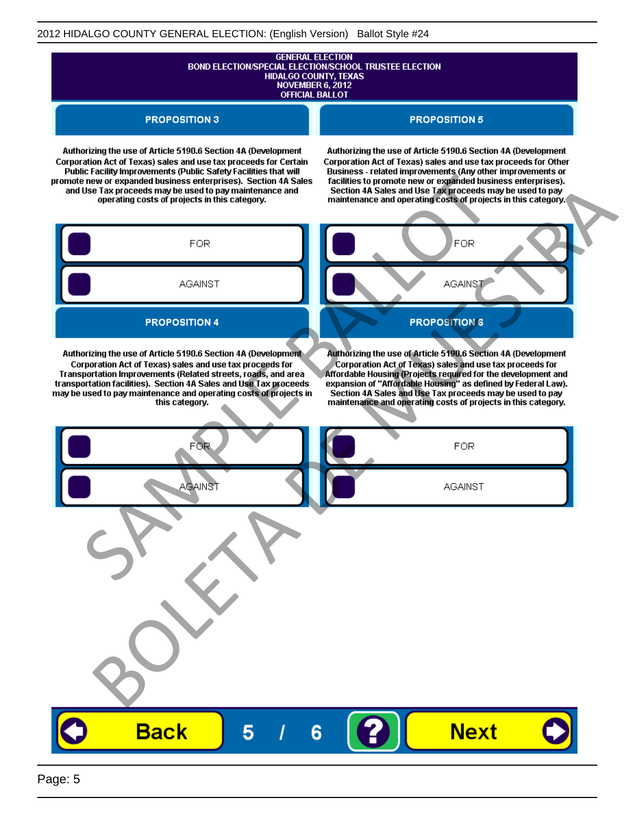# **GENERAL ELECTION** BOND ELECTION/SPECIAL ELECTION/SCHOOL TRUSTEE ELECTION<br>HIDALGO COUNTY, TEXAS<br>NOVEMBER 6, 2012 **OFFICIAL BALLOT**

**PROPOSITION 3** 

#### **PROPOSITION 5**

Authorizing the use of Article 5190.6 Section 4A (Development Corporation Act of Texas) sales and use tax proceeds for Certain

Authorizing the use of Article 5190.6 Section 4A (Development Corporation Act of Texas) sales and use tax proceeds for Other

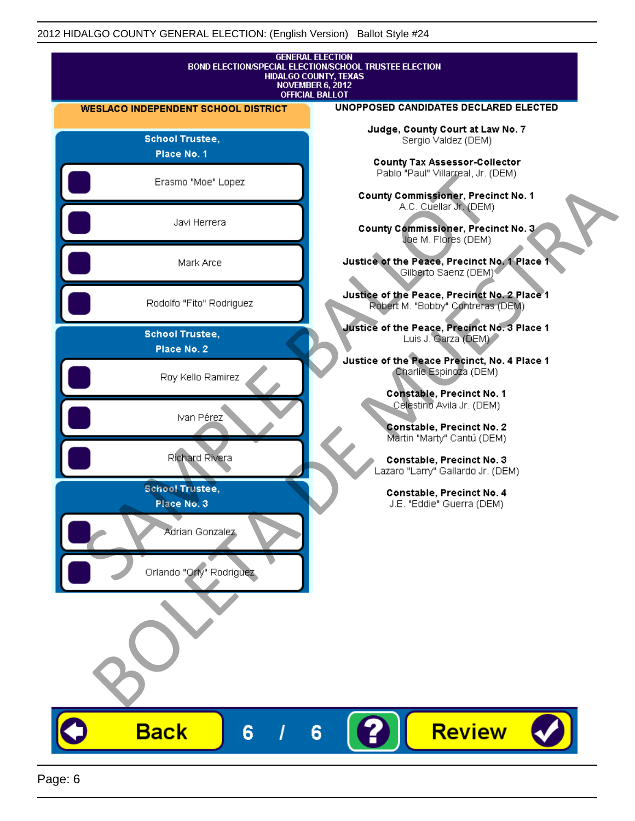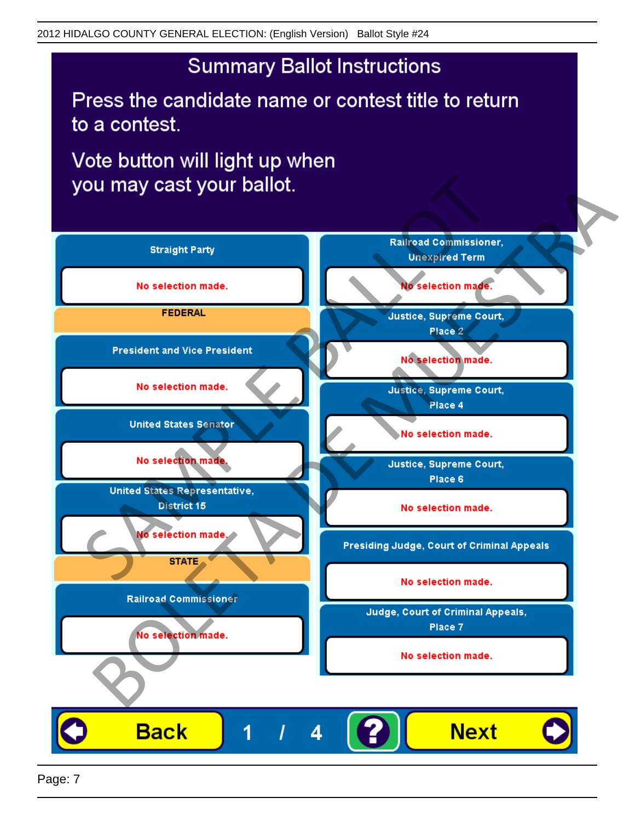Press the candidate name or contest title to return to a contest.

Vote button will light up when



Page: 7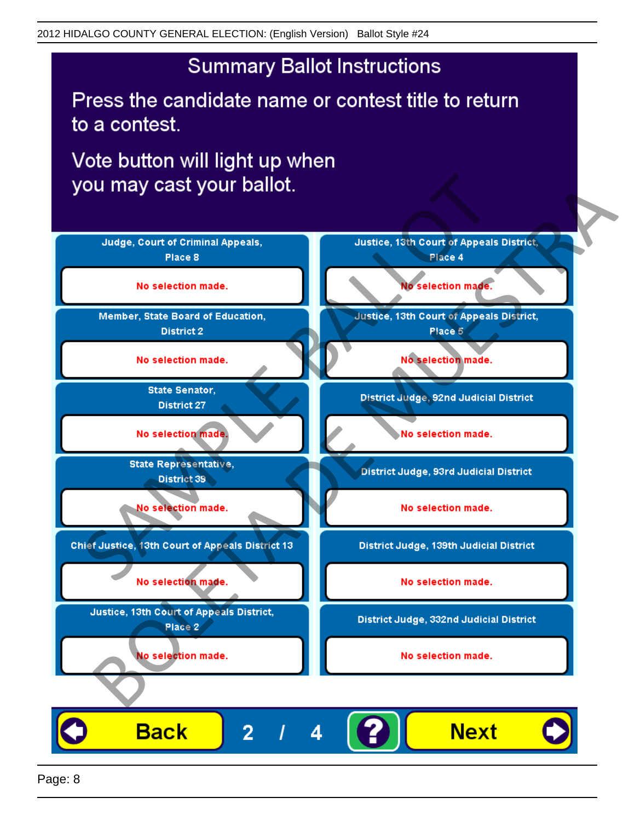Press the candidate name or contest title to return to a contest.

Vote button will light up when

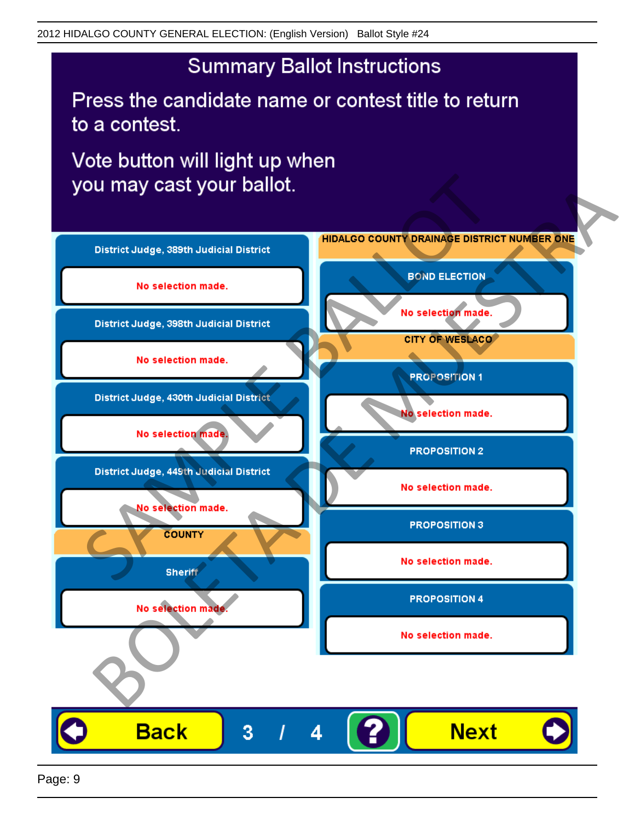Press the candidate name or contest title to return to a contest.